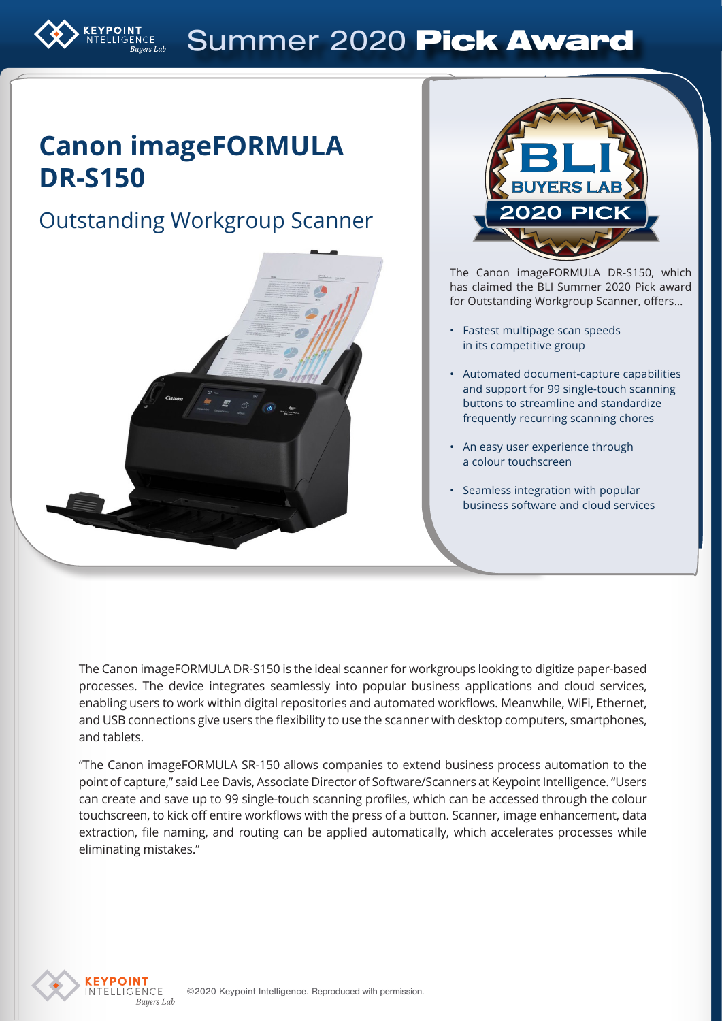# Summer 2020 Pick Award

## **Canon imageFORMULA DR-S150**

Outstanding Workgroup Scanner



The Canon imageFORMULA DR-S150, which has claimed the BLI Summer 2020 Pick award for Outstanding Workgroup Scanner, offers…

- Fastest multipage scan speeds in its competitive group
- Automated document-capture capabilities and support for 99 single-touch scanning buttons to streamline and standardize frequently recurring scanning chores
- An easy user experience through a colour touchscreen
- Seamless integration with popular business software and cloud services

The Canon imageFORMULA DR-S150 is the ideal scanner for workgroups looking to digitize paper-based processes. The device integrates seamlessly into popular business applications and cloud services, enabling users to work within digital repositories and automated workflows. Meanwhile, WiFi, Ethernet, and USB connections give users the flexibility to use the scanner with desktop computers, smartphones, and tablets.

"The Canon imageFORMULA SR-150 allows companies to extend business process automation to the point of capture," said Lee Davis, Associate Director of Software/Scanners at Keypoint Intelligence. "Users can create and save up to 99 single-touch scanning profiles, which can be accessed through the colour touchscreen, to kick off entire workflows with the press of a button. Scanner, image enhancement, data extraction, file naming, and routing can be applied automatically, which accelerates processes while eliminating mistakes."